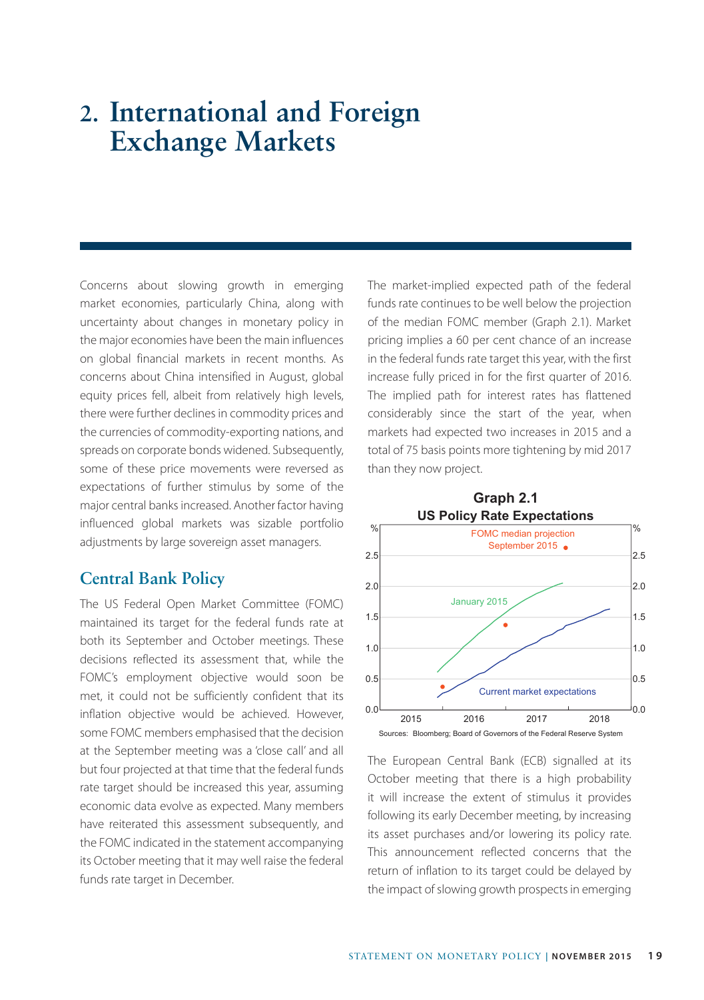# **2. International and Foreign Exchange Markets**

Concerns about slowing growth in emerging market economies, particularly China, along with uncertainty about changes in monetary policy in the major economies have been the main influences on global financial markets in recent months. As concerns about China intensified in August, global equity prices fell, albeit from relatively high levels, there were further declines in commodity prices and the currencies of commodity-exporting nations, and spreads on corporate bonds widened. Subsequently, some of these price movements were reversed as expectations of further stimulus by some of the major central banks increased. Another factor having influenced global markets was sizable portfolio adjustments by large sovereign asset managers.

#### **Central Bank Policy**

The US Federal Open Market Committee (FOMC) maintained its target for the federal funds rate at both its September and October meetings. These decisions reflected its assessment that, while the FOMC's employment objective would soon be met, it could not be sufficiently confident that its inflation objective would be achieved. However, some FOMC members emphasised that the decision at the September meeting was a 'close call' and all but four projected at that time that the federal funds rate target should be increased this year, assuming economic data evolve as expected. Many members have reiterated this assessment subsequently, and the FOMC indicated in the statement accompanying its October meeting that it may well raise the federal funds rate target in December.

The market-implied expected path of the federal funds rate continues to be well below the projection of the median FOMC member (Graph 2.1). Market pricing implies a 60 per cent chance of an increase in the federal funds rate target this year, with the first increase fully priced in for the first quarter of 2016. The implied path for interest rates has flattened considerably since the start of the year, when markets had expected two increases in 2015 and a total of 75 basis points more tightening by mid 2017 than they now project.



The European Central Bank (ECB) signalled at its October meeting that there is a high probability it will increase the extent of stimulus it provides following its early December meeting, by increasing its asset purchases and/or lowering its policy rate. This announcement reflected concerns that the return of inflation to its target could be delayed by the impact of slowing growth prospects in emerging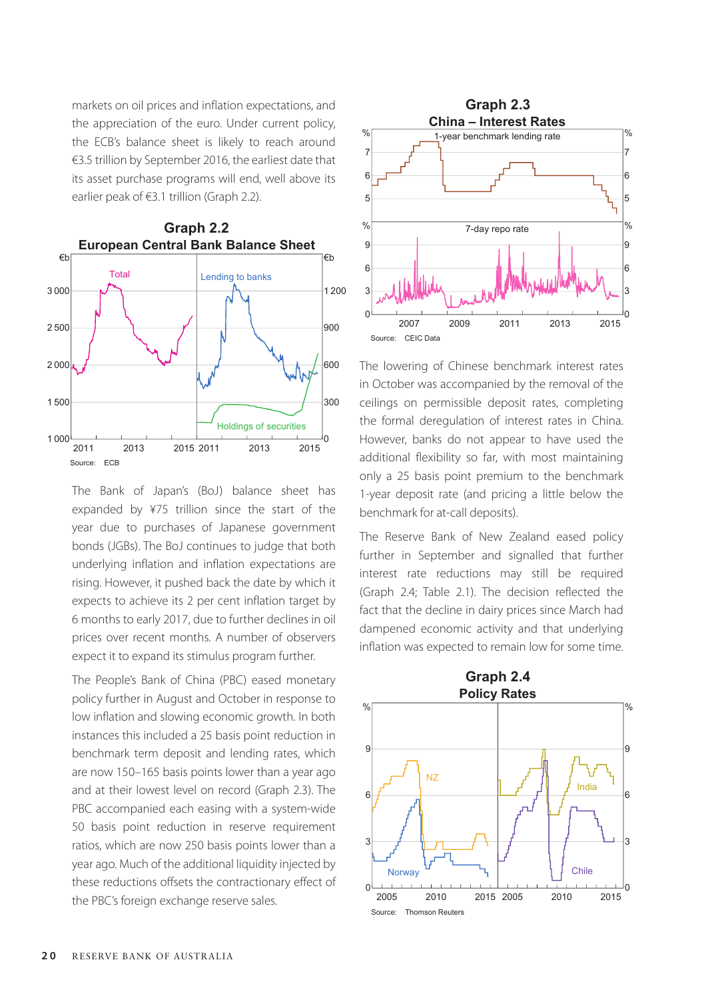markets on oil prices and inflation expectations, and the appreciation of the euro. Under current policy, the ECB's balance sheet is likely to reach around €3.5 trillion by September 2016, the earliest date that its asset purchase programs will end, well above its earlier peak of €3.1 trillion (Graph 2.2).



The Bank of Japan's (BoJ) balance sheet has expanded by ¥75 trillion since the start of the year due to purchases of Japanese government bonds (JGBs). The BoJ continues to judge that both underlying inflation and inflation expectations are rising. However, it pushed back the date by which it expects to achieve its 2 per cent inflation target by 6 months to early 2017, due to further declines in oil prices over recent months. A number of observers expect it to expand its stimulus program further.

The People's Bank of China (PBC) eased monetary policy further in August and October in response to low inflation and slowing economic growth. In both instances this included a 25 basis point reduction in benchmark term deposit and lending rates, which are now 150–165 basis points lower than a year ago and at their lowest level on record (Graph 2.3). The PBC accompanied each easing with a system-wide 50 basis point reduction in reserve requirement ratios, which are now 250 basis points lower than a year ago. Much of the additional liquidity injected by these reductions offsets the contractionary effect of the PBC's foreign exchange reserve sales.



The lowering of Chinese benchmark interest rates in October was accompanied by the removal of the ceilings on permissible deposit rates, completing the formal deregulation of interest rates in China. However, banks do not appear to have used the additional flexibility so far, with most maintaining only a 25 basis point premium to the benchmark 1-year deposit rate (and pricing a little below the benchmark for at-call deposits).

The Reserve Bank of New Zealand eased policy further in September and signalled that further interest rate reductions may still be required (Graph 2.4; Table 2.1). The decision reflected the fact that the decline in dairy prices since March had dampened economic activity and that underlying inflation was expected to remain low for some time.

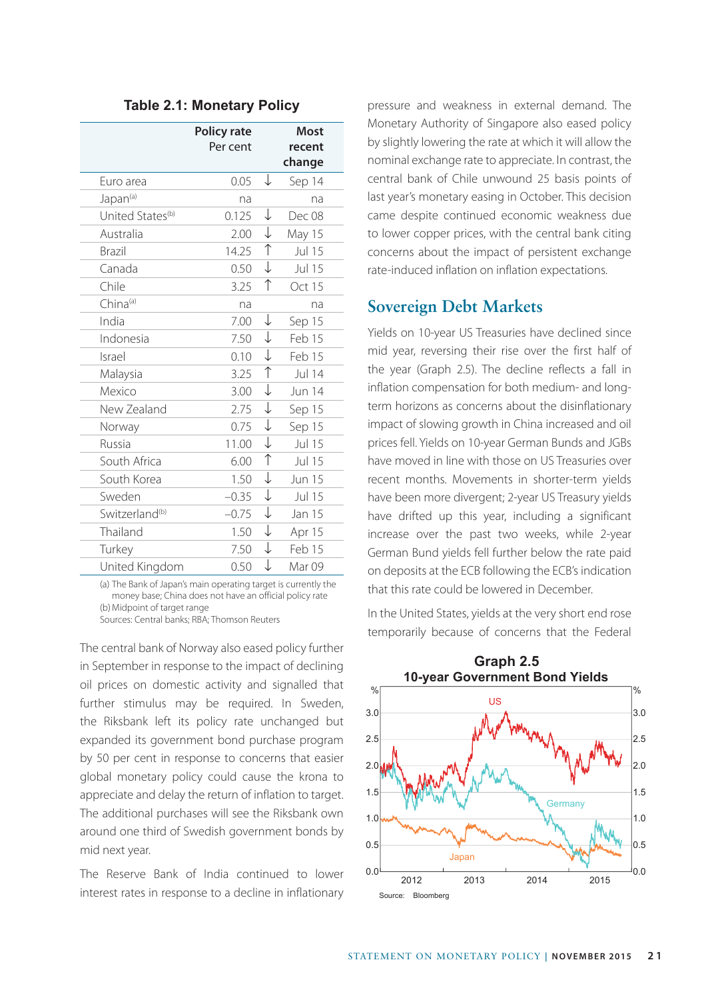|                              | Policy rate<br>Per cent |                       | <b>Most</b><br>recent<br>change |
|------------------------------|-------------------------|-----------------------|---------------------------------|
| Euro area                    | 0.05                    | ↓                     | Sep 14                          |
| Japan <sup>(a)</sup>         | na                      |                       | na                              |
| United States <sup>(b)</sup> | 0.125                   | ↓                     | Dec 08                          |
| Australia                    | 2.00                    | $\downarrow$          | May 15                          |
| Brazil                       | 14.25                   | $\uparrow$            | Jul 15                          |
| Canada                       | 0.50                    | $\downarrow$          | <b>Jul 15</b>                   |
| Chile                        | 3.25                    | $\uparrow$            | Oct 15                          |
| $China^{(a)}$                | na                      |                       | na                              |
| India                        | 7.00                    | ↓                     | Sep 15                          |
| Indonesia                    | 7.50                    | ↓                     | Feb 15                          |
| Israel                       | 0.10                    | $\downarrow$          | Feb 15                          |
| Malaysia                     | 3.25                    | $\overline{\uparrow}$ | Jul 14                          |
| Mexico                       | 3.00                    | $\downarrow$          | <b>Jun 14</b>                   |
| New Zealand                  | 2.75                    | $\downarrow$          | Sep 15                          |
| Norway                       | 0.75                    | $\downarrow$          | Sep 15                          |
| Russia                       | 11.00                   | $\downarrow$          | <b>Jul 15</b>                   |
| South Africa                 | 6.00                    | $\uparrow$            | Jul 15                          |
| South Korea                  | 1.50                    | ↓                     | <b>Jun 15</b>                   |
| Sweden                       | $-0.35$                 | $\downarrow$          | Jul 15                          |
| Switzerland <sup>(b)</sup>   | $-0.75$                 | $\downarrow$          | Jan 15                          |
| Thailand                     | 1.50                    | $\downarrow$          | Apr 15                          |
| Turkey                       | 7.50                    | ↓                     | Feb 15                          |
| United Kingdom               | 0.50                    | $\downarrow$          | Mar <sub>09</sub>               |

**Table 2.1: Monetary Policy**

(a) The Bank of Japan's main operating target is currently the money base; China does not have an official policy rate (b)Midpoint of target range Sources: Central banks; RBA; Thomson Reuters

The central bank of Norway also eased policy further in September in response to the impact of declining oil prices on domestic activity and signalled that further stimulus may be required. In Sweden, the Riksbank left its policy rate unchanged but expanded its government bond purchase program by 50 per cent in response to concerns that easier global monetary policy could cause the krona to appreciate and delay the return of inflation to target. The additional purchases will see the Riksbank own around one third of Swedish government bonds by mid next year.

The Reserve Bank of India continued to lower interest rates in response to a decline in inflationary pressure and weakness in external demand. The Monetary Authority of Singapore also eased policy by slightly lowering the rate at which it will allow the nominal exchange rate to appreciate. In contrast, the central bank of Chile unwound 25 basis points of last year's monetary easing in October. This decision came despite continued economic weakness due to lower copper prices, with the central bank citing concerns about the impact of persistent exchange rate-induced inflation on inflation expectations.

### **Sovereign Debt Markets**

Yields on 10-year US Treasuries have declined since mid year, reversing their rise over the first half of the year (Graph 2.5). The decline reflects a fall in inflation compensation for both medium- and longterm horizons as concerns about the disinflationary impact of slowing growth in China increased and oil prices fell. Yields on 10-year German Bunds and JGBs have moved in line with those on US Treasuries over recent months. Movements in shorter-term yields have been more divergent; 2-year US Treasury yields have drifted up this year, including a significant increase over the past two weeks, while 2-year German Bund yields fell further below the rate paid on deposits at the ECB following the ECB's indication that this rate could be lowered in December.

In the United States, yields at the very short end rose temporarily because of concerns that the Federal



STATEMENT ON MONETARY POLICY **| NOVEMBER 2015 2 1**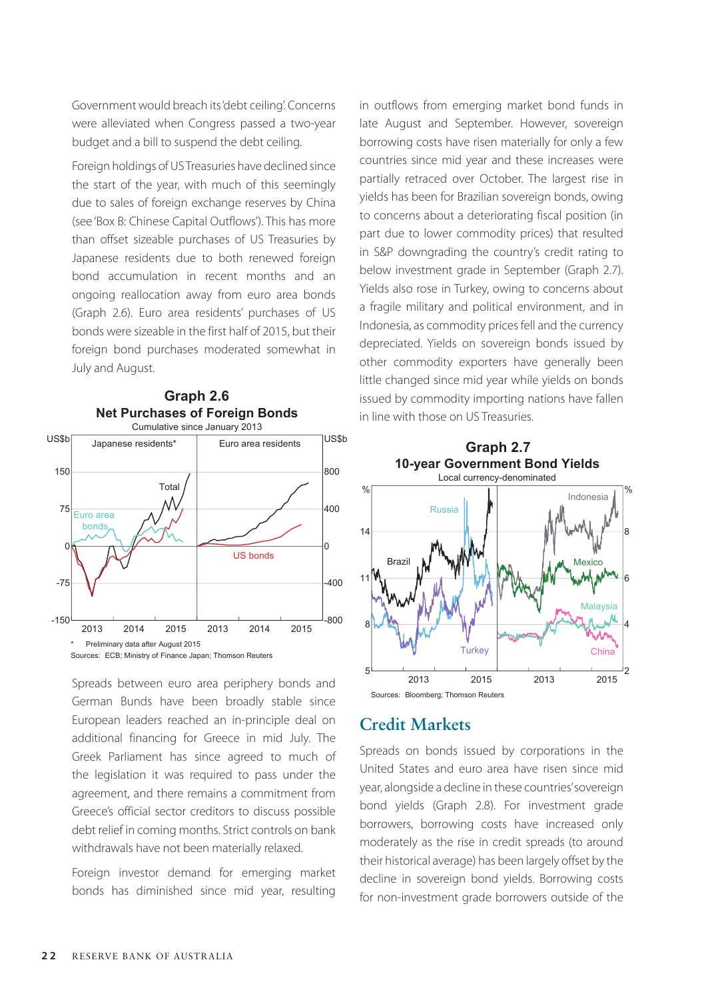Government would breach its 'debt ceiling'. Concerns were alleviated when Congress passed a two-year budget and a bill to suspend the debt ceiling.

Foreign holdings of US Treasuries have declined since the start of the year, with much of this seemingly due to sales of foreign exchange reserves by China (see 'Box B: Chinese Capital Outflows'). This has more than offset sizeable purchases of US Treasuries by Japanese residents due to both renewed foreign bond accumulation in recent months and an ongoing reallocation away from euro area bonds (Graph 2.6). Euro area residents' purchases of US bonds were sizeable in the first half of 2015, but their foreign bond purchases moderated somewhat in July and August.



**Graph 2.6**

Spreads between euro area periphery bonds and German Bunds have been broadly stable since European leaders reached an in-principle deal on additional financing for Greece in mid July. The Greek Parliament has since agreed to much of the legislation it was required to pass under the agreement, and there remains a commitment from Greece's official sector creditors to discuss possible debt relief in coming months. Strict controls on bank withdrawals have not been materially relaxed.

Foreign investor demand for emerging market bonds has diminished since mid year, resulting in outflows from emerging market bond funds in late August and September. However, sovereign borrowing costs have risen materially for only a few countries since mid year and these increases were partially retraced over October. The largest rise in yields has been for Brazilian sovereign bonds, owing to concerns about a deteriorating fiscal position (in part due to lower commodity prices) that resulted in S&P downgrading the country's credit rating to below investment grade in September (Graph 2.7). Yields also rose in Turkey, owing to concerns about a fragile military and political environment, and in Indonesia, as commodity prices fell and the currency depreciated. Yields on sovereign bonds issued by other commodity exporters have generally been little changed since mid year while yields on bonds issued by commodity importing nations have fallen in line with those on US Treasuries.



# **Credit Markets**

Spreads on bonds issued by corporations in the United States and euro area have risen since mid year, alongside a decline in these countries' sovereign bond yields (Graph 2.8). For investment grade borrowers, borrowing costs have increased only moderately as the rise in credit spreads (to around their historical average) has been largely offset by the decline in sovereign bond yields. Borrowing costs for non-investment grade borrowers outside of the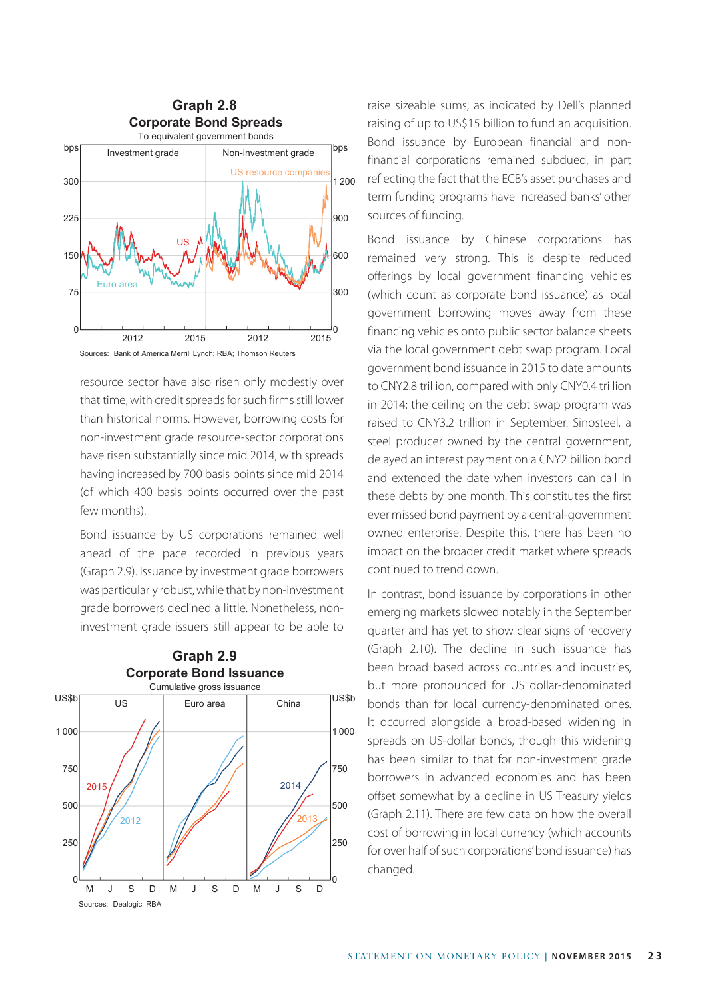

resource sector have also risen only modestly over that time, with credit spreads for such firms still lower than historical norms. However, borrowing costs for non-investment grade resource-sector corporations have risen substantially since mid 2014, with spreads having increased by 700 basis points since mid 2014 (of which 400 basis points occurred over the past few months).

Bond issuance by US corporations remained well ahead of the pace recorded in previous years (Graph 2.9). Issuance by investment grade borrowers was particularly robust, while that by non-investment grade borrowers declined a little. Nonetheless, noninvestment grade issuers still appear to be able to





raise sizeable sums, as indicated by Dell's planned raising of up to US\$15 billion to fund an acquisition. Bond issuance by European financial and nonfinancial corporations remained subdued, in part reflecting the fact that the ECB's asset purchases and term funding programs have increased banks' other sources of funding.

Bond issuance by Chinese corporations has remained very strong. This is despite reduced offerings by local government financing vehicles (which count as corporate bond issuance) as local government borrowing moves away from these financing vehicles onto public sector balance sheets via the local government debt swap program. Local government bond issuance in 2015 to date amounts to CNY2.8 trillion, compared with only CNY0.4 trillion in 2014; the ceiling on the debt swap program was raised to CNY3.2 trillion in September. Sinosteel, a steel producer owned by the central government, delayed an interest payment on a CNY2 billion bond and extended the date when investors can call in these debts by one month. This constitutes the first ever missed bond payment by a central-government owned enterprise. Despite this, there has been no impact on the broader credit market where spreads continued to trend down.

In contrast, bond issuance by corporations in other emerging markets slowed notably in the September quarter and has yet to show clear signs of recovery (Graph 2.10). The decline in such issuance has been broad based across countries and industries, but more pronounced for US dollar-denominated bonds than for local currency-denominated ones. It occurred alongside a broad-based widening in spreads on US-dollar bonds, though this widening has been similar to that for non-investment grade borrowers in advanced economies and has been offset somewhat by a decline in US Treasury yields (Graph 2.11). There are few data on how the overall cost of borrowing in local currency (which accounts for over half of such corporations' bond issuance) has changed.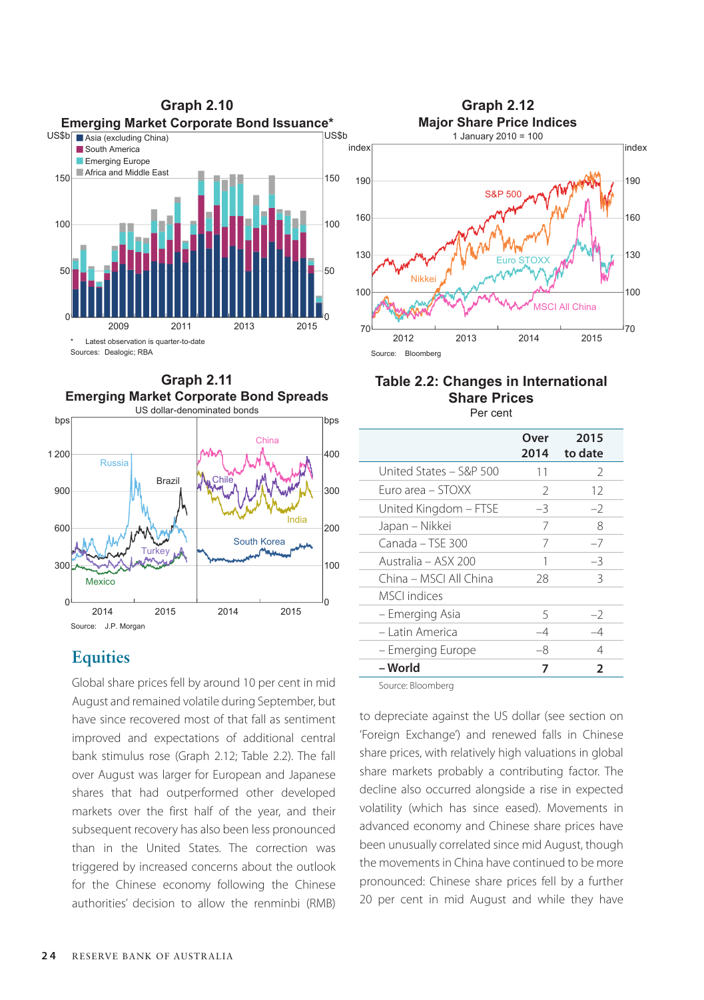



# **Equities**

Global share prices fell by around 10 per cent in mid August and remained volatile during September, but have since recovered most of that fall as sentiment improved and expectations of additional central bank stimulus rose (Graph 2.12; Table 2.2). The fall over August was larger for European and Japanese shares that had outperformed other developed markets over the first half of the year, and their subsequent recovery has also been less pronounced than in the United States. The correction was triggered by increased concerns about the outlook for the Chinese economy following the Chinese authorities' decision to allow the renminbi (RMB)



#### **Table 2.2: Changes in International Share Prices** Per cent

|                         | Over<br>2014  | 2015<br>to date |
|-------------------------|---------------|-----------------|
| United States – S&P 500 | 11            | $\mathcal{P}$   |
| Furo area – STOXX       | $\mathcal{P}$ | 12              |
| United Kingdom - FTSE   | -3            | $-2$            |
| Japan – Nikkei          | 7             | 8               |
| Canada – TSE 300        | 7             | $-7$            |
| Australia – ASX 200     |               | $-3$            |
| China – MSCI All China  | 28            | 3               |
| MSCL indices            |               |                 |
| - Emerging Asia         | 5             | $-2$            |
| - Latin America         | $-4$          | -4              |
| – Emerging Europe       | -8            | 4               |
| – World                 | 7             | 2               |
|                         |               |                 |

Source: Bloomberg

to depreciate against the US dollar (see section on 'Foreign Exchange') and renewed falls in Chinese share prices, with relatively high valuations in global share markets probably a contributing factor. The decline also occurred alongside a rise in expected volatility (which has since eased). Movements in advanced economy and Chinese share prices have been unusually correlated since mid August, though the movements in China have continued to be more pronounced: Chinese share prices fell by a further 20 per cent in mid August and while they have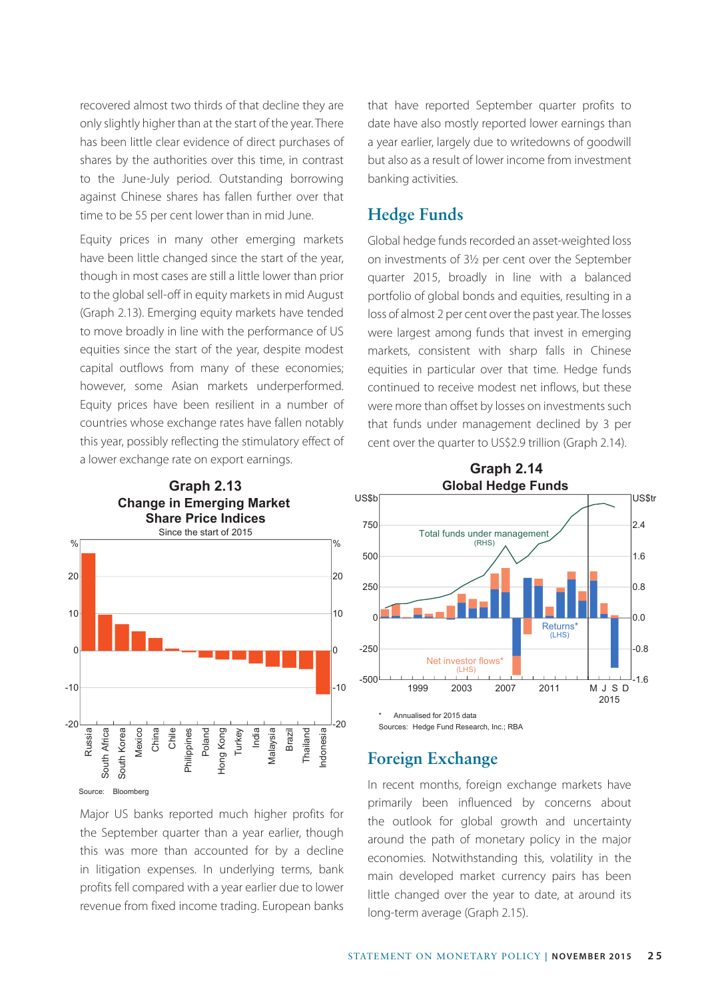recovered almost two thirds of that decline they are only slightly higher than at the start of the year. There has been little clear evidence of direct purchases of shares by the authorities over this time, in contrast to the June-July period. Outstanding borrowing against Chinese shares has fallen further over that time to be 55 per cent lower than in mid June.

Equity prices in many other emerging markets have been little changed since the start of the year, though in most cases are still a little lower than prior to the global sell-off in equity markets in mid August (Graph 2.13). Emerging equity markets have tended to move broadly in line with the performance of US equities since the start of the year, despite modest capital outflows from many of these economies; however, some Asian markets underperformed. Equity prices have been resilient in a number of countries whose exchange rates have fallen notably this year, possibly reflecting the stimulatory effect of a lower exchange rate on export earnings.

that have reported September quarter profits to date have also mostly reported lower earnings than a year earlier, largely due to writedowns of goodwill but also as a result of lower income from investment banking activities.

#### **Hedge Funds**

Global hedge funds recorded an asset-weighted loss on investments of 3½ per cent over the September quarter 2015, broadly in line with a balanced portfolio of global bonds and equities, resulting in a loss of almost 2 per cent over the past year. The losses were largest among funds that invest in emerging markets, consistent with sharp falls in Chinese equities in particular over that time. Hedge funds continued to receive modest net inflows, but these were more than offset by losses on investments such that funds under management declined by 3 per cent over the quarter to US\$2.9 trillion (Graph 2.14).



Source: Bloomberg

Major US banks reported much higher profits for the September quarter than a year earlier, though this was more than accounted for by a decline in litigation expenses. In underlying terms, bank profits fell compared with a year earlier due to lower revenue from fixed income trading. European banks



# **Foreign Exchange**

In recent months, foreign exchange markets have primarily been influenced by concerns about the outlook for global growth and uncertainty around the path of monetary policy in the major economies. Notwithstanding this, volatility in the main developed market currency pairs has been little changed over the year to date, at around its long-term average (Graph 2.15).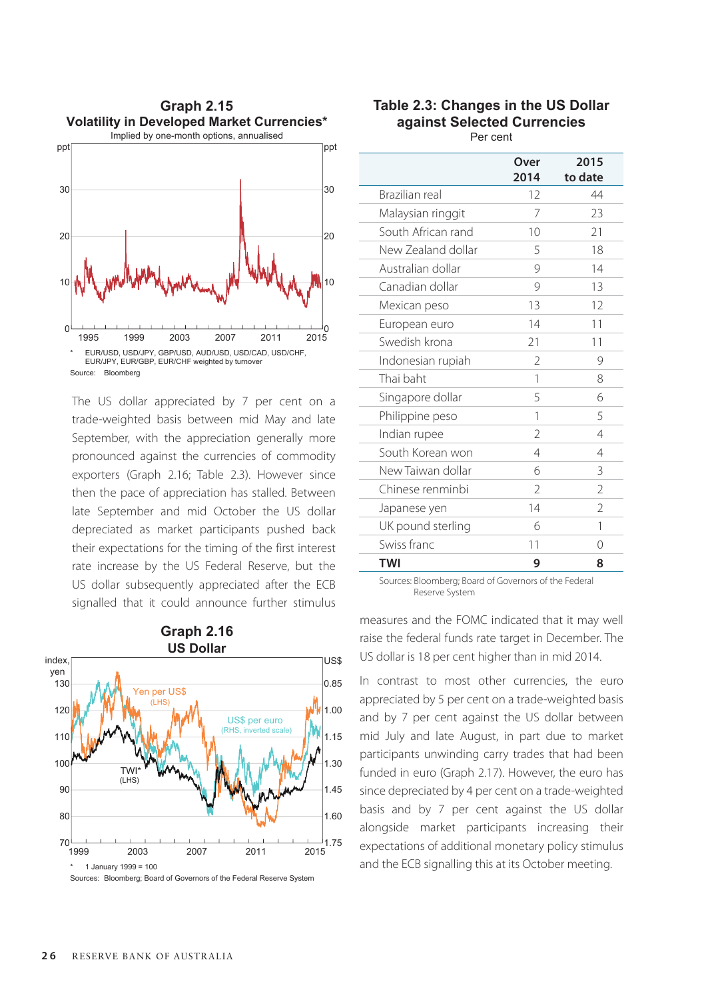

The US dollar appreciated by 7 per cent on a trade-weighted basis between mid May and late September, with the appreciation generally more pronounced against the currencies of commodity exporters (Graph 2.16; Table 2.3). However since then the pace of appreciation has stalled. Between late September and mid October the US dollar depreciated as market participants pushed back their expectations for the timing of the first interest rate increase by the US Federal Reserve, but the US dollar subsequently appreciated after the ECB signalled that it could announce further stimulus



**Table 2.3: Changes in the US Dollar against Selected Currencies**

Per cent

|                    | Over<br>2014             | 2015<br>to date |
|--------------------|--------------------------|-----------------|
| Brazilian real     | 12                       | 44              |
| Malaysian ringgit  | 7                        | 23              |
| South African rand | 10                       | 21              |
| New Zealand dollar | 5                        | 18              |
| Australian dollar  | 9                        | 14              |
| Canadian dollar    | 9                        | 13              |
| Mexican peso       | 13                       | 12              |
| European euro      | 14                       | 11              |
| Swedish krona      | 21                       | 11              |
| Indonesian rupiah  | $\mathcal{P}$            | 9               |
| Thai baht          | 1                        | 8               |
| Singapore dollar   | 5                        | 6               |
| Philippine peso    | 1                        | 5               |
| Indian rupee       | $\overline{\phantom{a}}$ | 4               |
| South Korean won   | 4                        | 4               |
| New Taiwan dollar  | 6                        | 3               |
| Chinese renminbi   | V                        | $\mathcal{P}$   |
| Japanese yen       | 14                       | $\mathcal{P}$   |
| UK pound sterling  | 6                        | 1               |
| Swiss franc        | 11                       | Ω               |
| <b>TWI</b>         | 9                        | 8               |
|                    |                          |                 |

Sources: Bloomberg; Board of Governors of the Federal Reserve System

measures and the FOMC indicated that it may well raise the federal funds rate target in December. The US dollar is 18 per cent higher than in mid 2014.

In contrast to most other currencies, the euro appreciated by 5 per cent on a trade-weighted basis and by 7 per cent against the US dollar between mid July and late August, in part due to market participants unwinding carry trades that had been funded in euro (Graph 2.17). However, the euro has since depreciated by 4 per cent on a trade-weighted basis and by 7 per cent against the US dollar alongside market participants increasing their expectations of additional monetary policy stimulus and the ECB signalling this at its October meeting.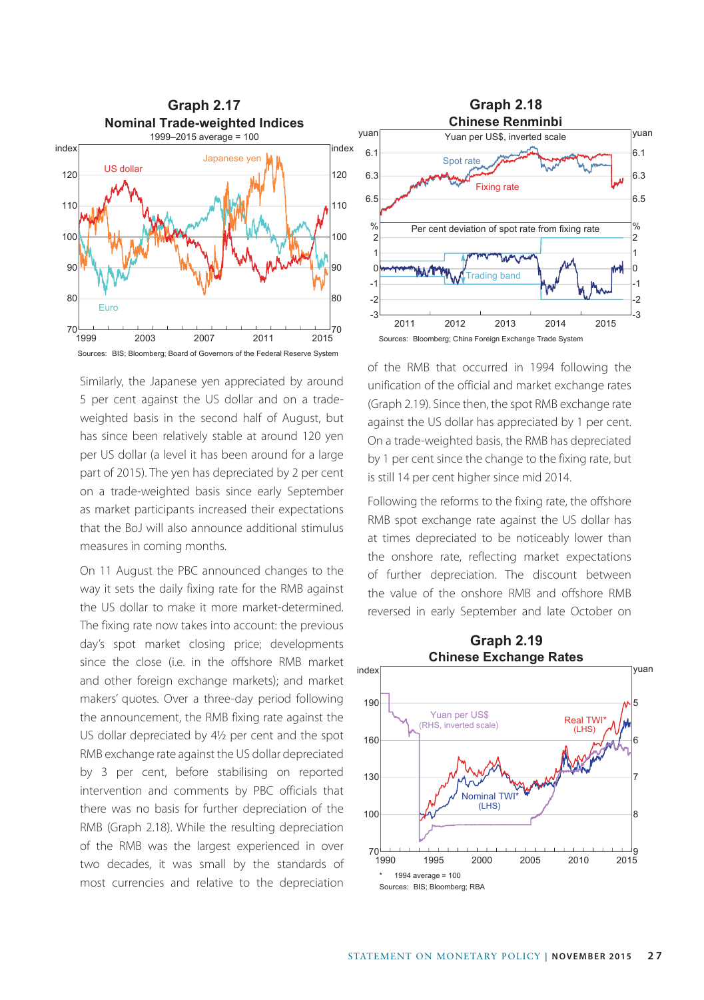

Similarly, the Japanese yen appreciated by around 5 per cent against the US dollar and on a tradeweighted basis in the second half of August, but has since been relatively stable at around 120 yen per US dollar (a level it has been around for a large part of 2015). The yen has depreciated by 2 per cent on a trade-weighted basis since early September as market participants increased their expectations that the BoJ will also announce additional stimulus measures in coming months.

On 11 August the PBC announced changes to the way it sets the daily fixing rate for the RMB against the US dollar to make it more market-determined. The fixing rate now takes into account: the previous day's spot market closing price; developments since the close (i.e. in the offshore RMB market and other foreign exchange markets); and market makers' quotes. Over a three-day period following the announcement, the RMB fixing rate against the US dollar depreciated by 4½ per cent and the spot RMB exchange rate against the US dollar depreciated by 3 per cent, before stabilising on reported intervention and comments by PBC officials that there was no basis for further depreciation of the RMB (Graph 2.18). While the resulting depreciation of the RMB was the largest experienced in over two decades, it was small by the standards of most currencies and relative to the depreciation



of the RMB that occurred in 1994 following the unification of the official and market exchange rates (Graph 2.19). Since then, the spot RMB exchange rate against the US dollar has appreciated by 1 per cent. On a trade-weighted basis, the RMB has depreciated by 1 per cent since the change to the fixing rate, but is still 14 per cent higher since mid 2014.

Following the reforms to the fixing rate, the offshore RMB spot exchange rate against the US dollar has at times depreciated to be noticeably lower than the onshore rate, reflecting market expectations of further depreciation. The discount between the value of the onshore RMB and offshore RMB reversed in early September and late October on

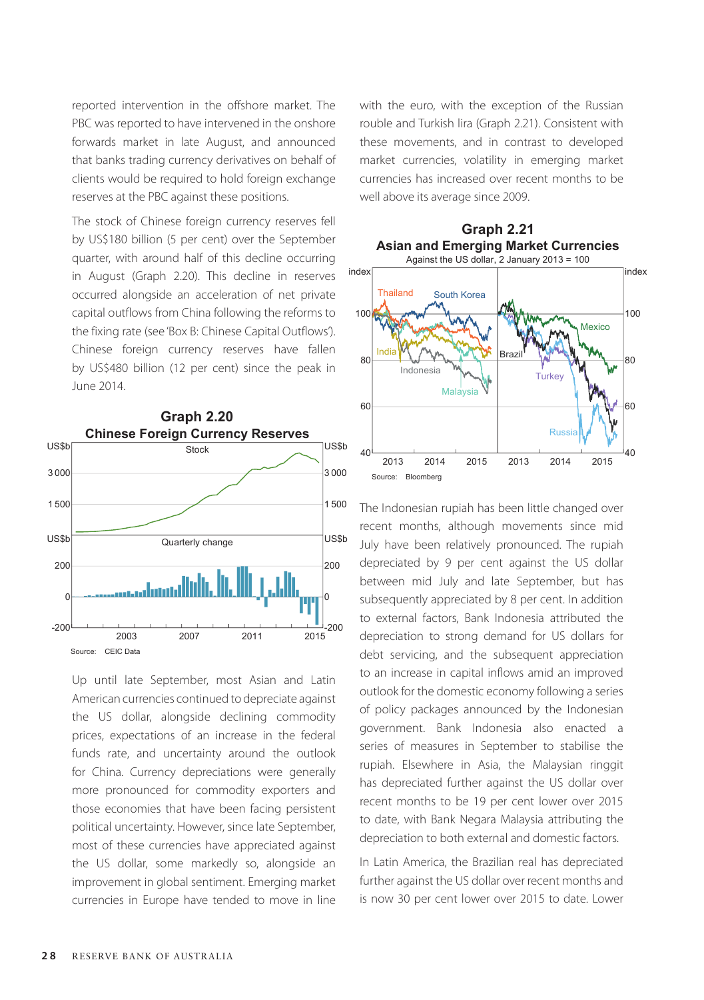reported intervention in the offshore market. The PBC was reported to have intervened in the onshore forwards market in late August, and announced that banks trading currency derivatives on behalf of clients would be required to hold foreign exchange reserves at the PBC against these positions.

The stock of Chinese foreign currency reserves fell by US\$180 billion (5 per cent) over the September quarter, with around half of this decline occurring in August (Graph 2.20). This decline in reserves occurred alongside an acceleration of net private capital outflows from China following the reforms to the fixing rate (see 'Box B: Chinese Capital Outflows'). Chinese foreign currency reserves have fallen by US\$480 billion (12 per cent) since the peak in June 2014.



Up until late September, most Asian and Latin American currencies continued to depreciate against the US dollar, alongside declining commodity prices, expectations of an increase in the federal funds rate, and uncertainty around the outlook for China. Currency depreciations were generally more pronounced for commodity exporters and those economies that have been facing persistent political uncertainty. However, since late September, most of these currencies have appreciated against the US dollar, some markedly so, alongside an improvement in global sentiment. Emerging market currencies in Europe have tended to move in line with the euro, with the exception of the Russian rouble and Turkish lira (Graph 2.21). Consistent with these movements, and in contrast to developed market currencies, volatility in emerging market currencies has increased over recent months to be well above its average since 2009.

**Graph 2.21**



The Indonesian rupiah has been little changed over recent months, although movements since mid July have been relatively pronounced. The rupiah depreciated by 9 per cent against the US dollar between mid July and late September, but has subsequently appreciated by 8 per cent. In addition to external factors, Bank Indonesia attributed the depreciation to strong demand for US dollars for debt servicing, and the subsequent appreciation to an increase in capital inflows amid an improved outlook for the domestic economy following a series of policy packages announced by the Indonesian government. Bank Indonesia also enacted a series of measures in September to stabilise the rupiah. Elsewhere in Asia, the Malaysian ringgit has depreciated further against the US dollar over recent months to be 19 per cent lower over 2015 to date, with Bank Negara Malaysia attributing the depreciation to both external and domestic factors.

In Latin America, the Brazilian real has depreciated further against the US dollar over recent months and is now 30 per cent lower over 2015 to date. Lower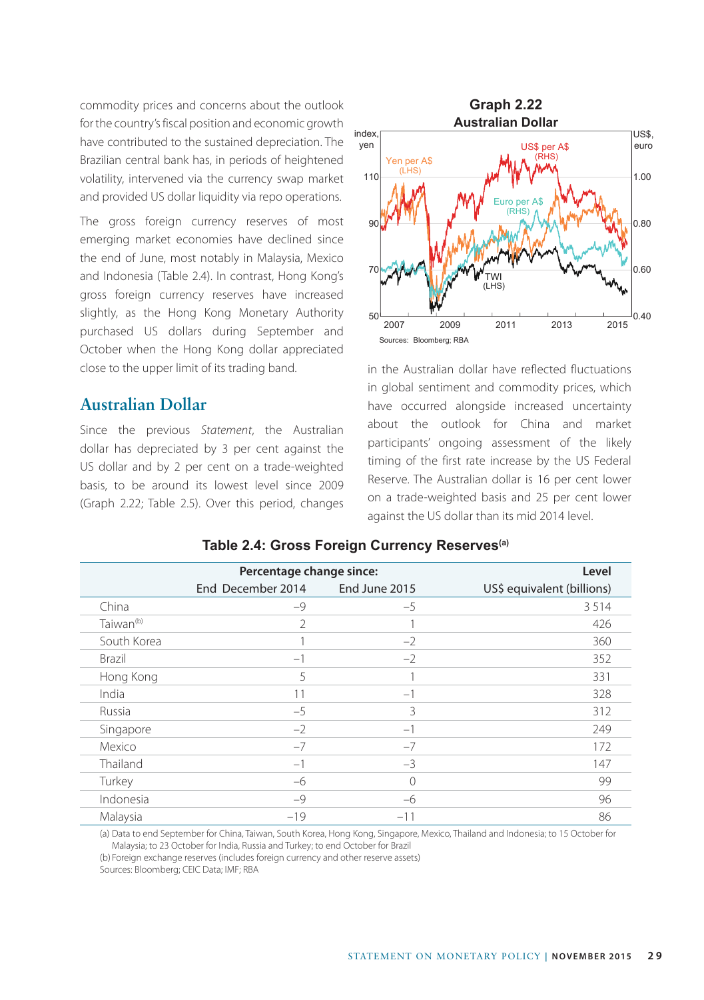commodity prices and concerns about the outlook for the country's fiscal position and economic growth have contributed to the sustained depreciation. The Brazilian central bank has, in periods of heightened volatility, intervened via the currency swap market and provided US dollar liquidity via repo operations.

The gross foreign currency reserves of most emerging market economies have declined since the end of June, most notably in Malaysia, Mexico and Indonesia (Table 2.4). In contrast, Hong Kong's gross foreign currency reserves have increased slightly, as the Hong Kong Monetary Authority purchased US dollars during September and October when the Hong Kong dollar appreciated close to the upper limit of its trading band.

#### **Australian Dollar**

Since the previous *Statement*, the Australian dollar has depreciated by 3 per cent against the US dollar and by 2 per cent on a trade-weighted basis, to be around its lowest level since 2009 (Graph 2.22; Table 2.5). Over this period, changes



in the Australian dollar have reflected fluctuations in global sentiment and commodity prices, which have occurred alongside increased uncertainty about the outlook for China and market participants' ongoing assessment of the likely timing of the first rate increase by the US Federal Reserve. The Australian dollar is 16 per cent lower on a trade-weighted basis and 25 per cent lower against the US dollar than its mid 2014 level.

|                       | Percentage change since: |               | Level                      |
|-----------------------|--------------------------|---------------|----------------------------|
|                       | End December 2014        | End June 2015 | US\$ equivalent (billions) |
| China                 | $-9$                     | $-5$          | 3514                       |
| Taiwan <sup>(b)</sup> | 2                        |               | 426                        |
| South Korea           |                          | $-2$          | 360                        |
| Brazil                | $-1$                     | $-2$          | 352                        |
| Hong Kong             | 5                        |               | 331                        |
| India                 | 11                       | $-1$          | 328                        |
| Russia                | $-5$                     | 3             | 312                        |
| Singapore             | $-2$                     | $-1$          | 249                        |
| Mexico                | $-7$                     | $-7$          | 172                        |
| Thailand              | $-1$                     | $-3$          | 147                        |
| Turkey                | $-6$                     | $\Omega$      | 99                         |
| Indonesia             | $-9$                     | $-6$          | 96                         |
| Malaysia              | $-19$                    | $-11$         | 86                         |

#### **Table 2.4: Gross Foreign Currency Reserves(a)**

(a) Data to end September for China, Taiwan, South Korea, Hong Kong, Singapore, Mexico, Thailand and Indonesia; to 15 October for Malaysia; to 23 October for India, Russia and Turkey; to end October for Brazil

(b) Foreign exchange reserves (includes foreign currency and other reserve assets)

Sources: Bloomberg; CEIC Data; IMF; RBA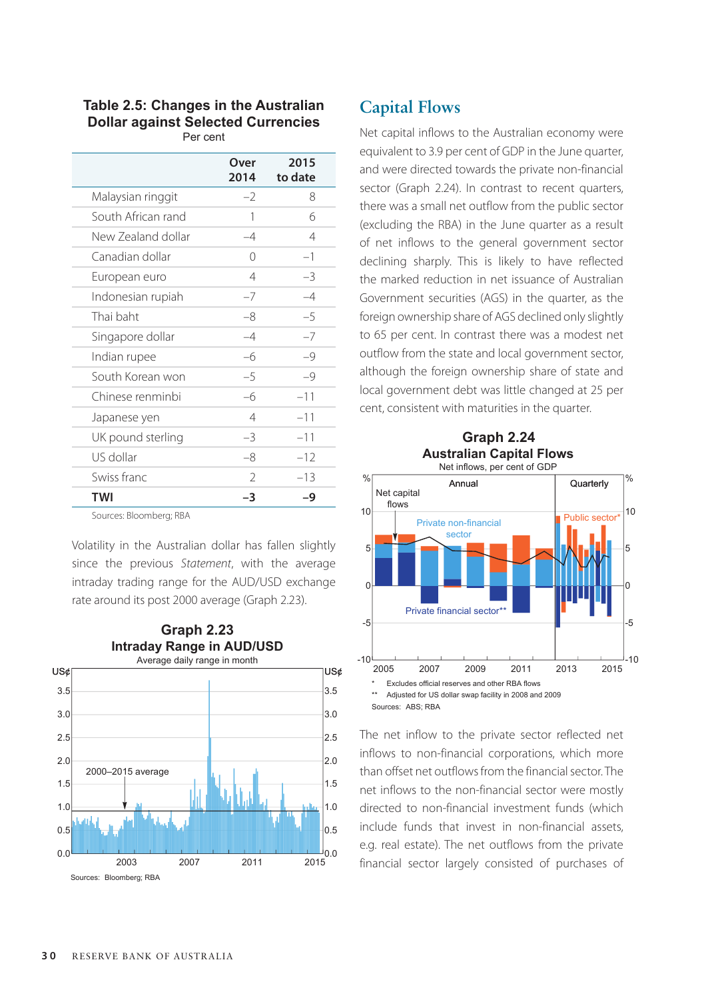# **Table 2.5: Changes in the Australian Dollar against Selected Currencies**

|                    | Over<br>2014   | 2015<br>to date |
|--------------------|----------------|-----------------|
| Malaysian ringgit  | $-2$           | 8               |
| South African rand | 1              | 6               |
| New Zealand dollar | $-4$           | 4               |
| Canadian dollar    | $\cap$         | $-1$            |
| European euro      | $\overline{4}$ | $-3$            |
| Indonesian rupiah  | $-7$           | $-4$            |
| Thai baht          | -8             | $-5$            |
| Singapore dollar   | $-4$           | $-7$            |
| Indian rupee       | -6             | $-9$            |
| South Korean won   | $-5$           | $-9$            |
| Chinese renminbi   | $-6$           | $-11$           |
| Japanese yen       | $\overline{4}$ | $-11$           |
| UK pound sterling  | $-3$           | $-11$           |
| US dollar          | $-8$           | $-12$           |
| Swiss franc        | $\mathcal{P}$  | $-13$           |
| <b>TWI</b>         | -3             | -9              |

Sources: Bloomberg; RBA

Volatility in the Australian dollar has fallen slightly since the previous *Statement*, with the average intraday trading range for the AUD/USD exchange rate around its post 2000 average (Graph 2.23).



# **Capital Flows**

Net capital inflows to the Australian economy were equivalent to 3.9 per cent of GDP in the June quarter, and were directed towards the private non-financial sector (Graph 2.24). In contrast to recent quarters, there was a small net outflow from the public sector (excluding the RBA) in the June quarter as a result of net inflows to the general government sector declining sharply. This is likely to have reflected the marked reduction in net issuance of Australian Government securities (AGS) in the quarter, as the foreign ownership share of AGS declined only slightly to 65 per cent. In contrast there was a modest net outflow from the state and local government sector, although the foreign ownership share of state and local government debt was little changed at 25 per cent, consistent with maturities in the quarter.





The net inflow to the private sector reflected net inflows to non-financial corporations, which more than offset net outflows from the financial sector. The net inflows to the non-financial sector were mostly directed to non-financial investment funds (which include funds that invest in non-financial assets, e.g. real estate). The net outflows from the private financial sector largely consisted of purchases of